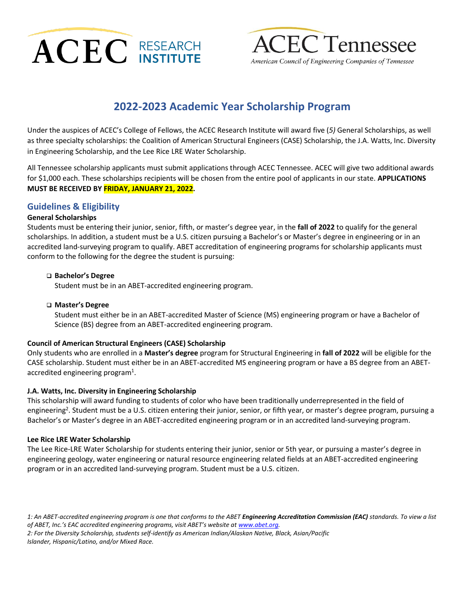



American Council of Engineering Companies of Tennessee

# **2022-2023 Academic Year Scholarship Program**

Under the auspices of ACEC's College of Fellows, the ACEC Research Institute will award five (*5)* General Scholarships, as well as three specialty scholarships: the Coalition of American Structural Engineers (CASE) Scholarship, the J.A. Watts, Inc. Diversity in Engineering Scholarship, and the Lee Rice LRE Water Scholarship.

All Tennessee scholarship applicants must submit applications through ACEC Tennessee. ACEC will give two additional awards for \$1,000 each. These scholarships recipients will be chosen from the entire pool of applicants in our state. **APPLICATIONS MUST BE RECEIVED BY FRIDAY, JANUARY 21, 2022.**

### **Guidelines & Eligibility**

### **General Scholarships**

Students must be entering their junior, senior, fifth, or master's degree year, in the **fall of 2022** to qualify for the general scholarships. In addition, a student must be a U.S. citizen pursuing a Bachelor's or Master's degree in engineering or in an accredited land-surveying program to qualify. ABET accreditation of engineering programs for scholarship applicants must conform to the following for the degree the student is pursuing:

#### ❑ **Bachelor's Degree**

Student must be in an ABET-accredited engineering program.

### ❑ **Master's Degree**

Student must either be in an ABET-accredited Master of Science (MS) engineering program or have a Bachelor of Science (BS) degree from an ABET-accredited engineering program.

### **Council of American Structural Engineers (CASE) Scholarship**

Only students who are enrolled in a **Master's degree** program for Structural Engineering in **fall of 2022** will be eligible for the CASE scholarship. Student must either be in an ABET-accredited MS engineering program or have a BS degree from an ABETaccredited engineering program<sup>1</sup>.

### **J.A. Watts, Inc. Diversity in Engineering Scholarship**

This scholarship will award funding to students of color who have been traditionally underrepresented in the field of engineering<sup>2</sup>. Student must be a U.S. citizen entering their junior, senior, or fifth year, or master's degree program, pursuing a Bachelor's or Master's degree in an ABET-accredited engineering program or in an accredited land-surveying program.

#### **Lee Rice LRE Water Scholarship**

The Lee Rice-LRE Water Scholarship for students entering their junior, senior or 5th year, or pursuing a master's degree in engineering geology, water engineering or natural resource engineering related fields at an ABET-accredited engineering program or in an accredited land-surveying program. Student must be a U.S. citizen.

1: An ABET-accredited engineering program is one that conforms to the ABET **Engineering Accreditation Commission (EAC)** standards. To view a list of ABET, Inc.'s EAC accredited engineering programs, visit ABET's website at *[www.abet.org.](http://www.abet.org/) 2: For the Diversity Scholarship, students self-identify as American Indian/Alaskan Native, Black, Asian/Pacific Islander, Hispanic/Latino, and/or Mixed Race.*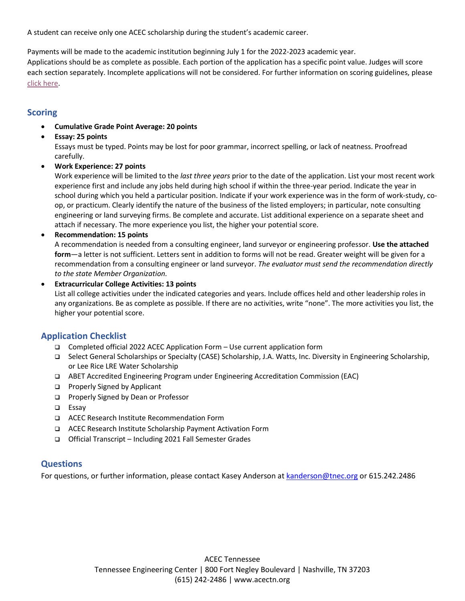A student can receive only one ACEC scholarship during the student's academic career.

Payments will be made to the academic institution beginning July 1 for the 2022-2023 academic year.

Applications should be as complete as possible. Each portion of the application has a specific point value. Judges will score each section separately. Incomplete applications will not be considered. For further information on scoring guidelines, please [click here.](https://www.acecresearchinstitute.org/wp-content/uploads/2020/06/Scholarship-Scoring-Guidelines-.pdf)

### **Scoring**

- **Cumulative Grade Point Average: 20 points**
- **Essay: 25 points**

Essays must be typed. Points may be lost for poor grammar, incorrect spelling, or lack of neatness. Proofread carefully.

• **Work Experience: 27 points**

Work experience will be limited to the *last three years* prior to the date of the application. List your most recent work experience first and include any jobs held during high school if within the three-year period. Indicate the year in school during which you held a particular position. Indicate if your work experience was in the form of work-study, coop, or practicum. Clearly identify the nature of the business of the listed employers; in particular, note consulting engineering or land surveying firms. Be complete and accurate. List additional experience on a separate sheet and attach if necessary. The more experience you list, the higher your potential score.

• **Recommendation: 15 points**

A recommendation is needed from a consulting engineer, land surveyor or engineering professor. **Use the attached form**—a letter is not sufficient. Letters sent in addition to forms will not be read. Greater weight will be given for a recommendation from a consulting engineer or land surveyor. *The evaluator must send the recommendation directly to the state Member Organization.*

### • **Extracurricular College Activities: 13 points**

List all college activities under the indicated categories and years. Include offices held and other leadership roles in any organizations. Be as complete as possible. If there are no activities, write "none". The more activities you list, the higher your potential score.

### **Application Checklist**

- ❑ Completed official 2022 ACEC Application Form Use current application form
- ❑ Select General Scholarships or Specialty (CASE) Scholarship, J.A. Watts, Inc. Diversity in Engineering Scholarship, or Lee Rice LRE Water Scholarship
- ❑ ABET Accredited Engineering Program under Engineering Accreditation Commission (EAC)
- ❑ Properly Signed by Applicant
- ❑ Properly Signed by Dean or Professor
- ❑ Essay
- ❑ ACEC Research Institute Recommendation Form
- ❑ ACEC Research Institute Scholarship Payment Activation Form
- ❑ Official Transcript Including 2021 Fall Semester Grades

## **Questions**

For questions, or further information, please contact Kasey Anderson at [kanderson@tnec.org](mailto:kanderson@tnec.org) or 615.242.2486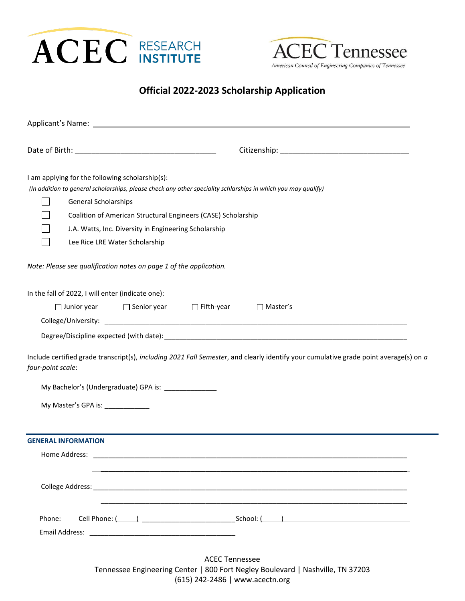



# **Official 2022-2023 Scholarship Application**

| I am applying for the following scholarship(s):<br><b>General Scholarships</b><br>Lee Rice LRE Water Scholarship | (In addition to general scholarships, please check any other speciality schlarships in which you may qualify)<br>Coalition of American Structural Engineers (CASE) Scholarship<br>J.A. Watts, Inc. Diversity in Engineering Scholarship |
|------------------------------------------------------------------------------------------------------------------|-----------------------------------------------------------------------------------------------------------------------------------------------------------------------------------------------------------------------------------------|
| Note: Please see qualification notes on page 1 of the application.                                               |                                                                                                                                                                                                                                         |
| In the fall of 2022, I will enter (indicate one):<br>$\Box$ Junior year                                          | □ Senior year □ Fifth-year<br>$\Box$ Master's                                                                                                                                                                                           |
| four-point scale:                                                                                                | Include certified grade transcript(s), including 2021 Fall Semester, and clearly identify your cumulative grade point average(s) on a                                                                                                   |
| My Bachelor's (Undergraduate) GPA is: _______________                                                            |                                                                                                                                                                                                                                         |
| My Master's GPA is: _____________                                                                                |                                                                                                                                                                                                                                         |
| <b>GENERAL INFORMATION</b>                                                                                       |                                                                                                                                                                                                                                         |
| Home Address:                                                                                                    |                                                                                                                                                                                                                                         |
|                                                                                                                  | <u> 1989 - Jan Barat de Barat de la contrada de la contrada de la contrada de la contrada de la contrada de la c</u>                                                                                                                    |
| Phone:                                                                                                           |                                                                                                                                                                                                                                         |
|                                                                                                                  | <b>ACEC Tennessee</b><br>Tennessee Engineering Center   800 Fort Negley Boulevard   Nashville, TN 37203                                                                                                                                 |

(615) 242-2486 | www.acectn.org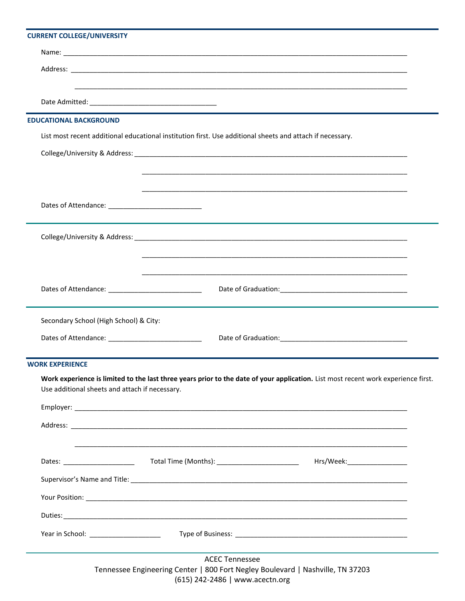### **CURRENT COLLEGE/UNIVERSITY**

| Work experience is limited to the last three years prior to the date of your application. List most recent work experience first. |
|-----------------------------------------------------------------------------------------------------------------------------------|
|                                                                                                                                   |
|                                                                                                                                   |
|                                                                                                                                   |
|                                                                                                                                   |
|                                                                                                                                   |
|                                                                                                                                   |
|                                                                                                                                   |
|                                                                                                                                   |
|                                                                                                                                   |

Tennessee Engineering Center | 800 Fort Negley Boulevard | Nashville, TN 37203 (615) 242-2486 | www.acectn.org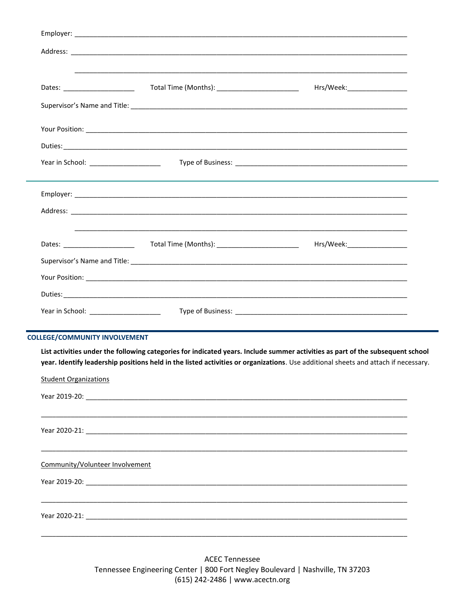| Dates: _______________________                                       | Total Time (Months): __________________________                                                                                                                                                                                                                      | Hrs/Week:_____________________ |
|----------------------------------------------------------------------|----------------------------------------------------------------------------------------------------------------------------------------------------------------------------------------------------------------------------------------------------------------------|--------------------------------|
|                                                                      |                                                                                                                                                                                                                                                                      |                                |
|                                                                      |                                                                                                                                                                                                                                                                      |                                |
|                                                                      |                                                                                                                                                                                                                                                                      |                                |
|                                                                      |                                                                                                                                                                                                                                                                      |                                |
|                                                                      |                                                                                                                                                                                                                                                                      |                                |
|                                                                      |                                                                                                                                                                                                                                                                      |                                |
|                                                                      |                                                                                                                                                                                                                                                                      |                                |
|                                                                      |                                                                                                                                                                                                                                                                      |                                |
|                                                                      |                                                                                                                                                                                                                                                                      |                                |
|                                                                      |                                                                                                                                                                                                                                                                      |                                |
|                                                                      |                                                                                                                                                                                                                                                                      |                                |
| Year in School: __________________________                           |                                                                                                                                                                                                                                                                      |                                |
|                                                                      |                                                                                                                                                                                                                                                                      |                                |
|                                                                      | List activities under the following categories for indicated years. Include summer activities as part of the subsequent school<br>year. Identify leadership positions held in the listed activities or organizations. Use additional sheets and attach if necessary. |                                |
| <b>COLLEGE/COMMUNITY INVOLVEMENT</b><br><b>Student Organizations</b> |                                                                                                                                                                                                                                                                      |                                |
|                                                                      |                                                                                                                                                                                                                                                                      |                                |
|                                                                      |                                                                                                                                                                                                                                                                      |                                |
| Community/Volunteer Involvement                                      |                                                                                                                                                                                                                                                                      |                                |
|                                                                      |                                                                                                                                                                                                                                                                      |                                |

**ACEC Tennessee** Tennessee Engineering Center | 800 Fort Negley Boulevard | Nashville, TN 37203  $(615)$  242-2486 | www.acectn.org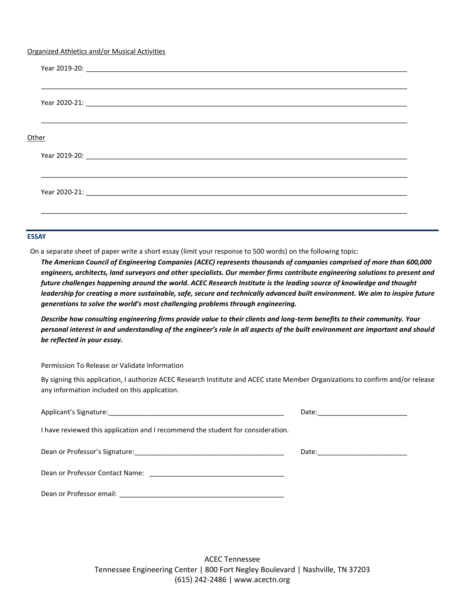#### Organized Athletics and/or Musical Activities

| Other |  |  |  |
|-------|--|--|--|
|       |  |  |  |
|       |  |  |  |
|       |  |  |  |

#### **ESSAY**

On a separate sheet of paper write a short essay (limit your response to 500 words) on the following topic:

*The American Council of Engineering Companies (ACEC) represents thousands of companies comprised of more than 600,000 engineers, architects, land surveyors and other specialists. Our member firms contribute engineering solutions to present and future challenges happening around the world. ACEC Research Institute is the leading source of knowledge and thought leadership for creating a more sustainable, safe, secure and technically advanced built environment. We aim to inspire future generations to solve the world's most challenging problems through engineering.*

*Describe how consulting engineering firms provide value to their clients and long-term benefits to their community. Your personal interest in and understanding of the engineer's role in all aspects of the built environment are important and should be reflected in your essay.*

Permission To Release or Validate Information

By signing this application, I authorize ACEC Research Institute and ACEC state Member Organizations to confirm and/or release any information included on this application.

|                                                                                 | Date: _________________________ |
|---------------------------------------------------------------------------------|---------------------------------|
| I have reviewed this application and I recommend the student for consideration. |                                 |
|                                                                                 |                                 |
|                                                                                 |                                 |
|                                                                                 |                                 |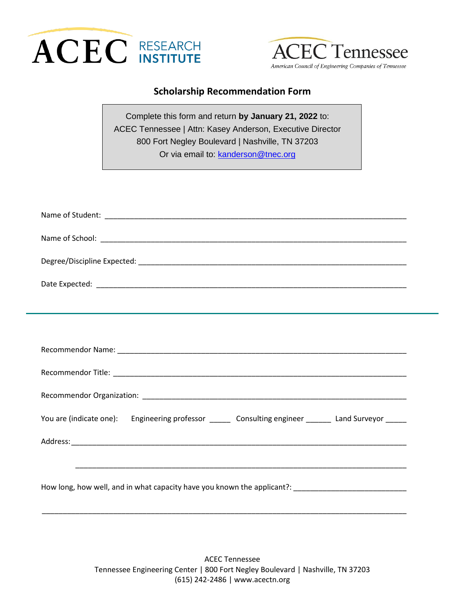



### **Scholarship Recommendation Form**

Complete this form and return **by January 21, 2022** to: ACEC Tennessee | Attn: Kasey Anderson, Executive Director 800 Fort Negley Boulevard | Nashville, TN 37203 Or via email to: [kanderson@tnec.org](mailto:kanderson@tnec.org)

| You are (indicate one): Engineering professor ______ Consulting engineer ______ Land Surveyor _____  |
|------------------------------------------------------------------------------------------------------|
|                                                                                                      |
|                                                                                                      |
| How long, how well, and in what capacity have you known the applicant?: ____________________________ |
|                                                                                                      |

ACEC Tennessee Tennessee Engineering Center | 800 Fort Negley Boulevard | Nashville, TN 37203 (615) 242-2486 | www.acectn.org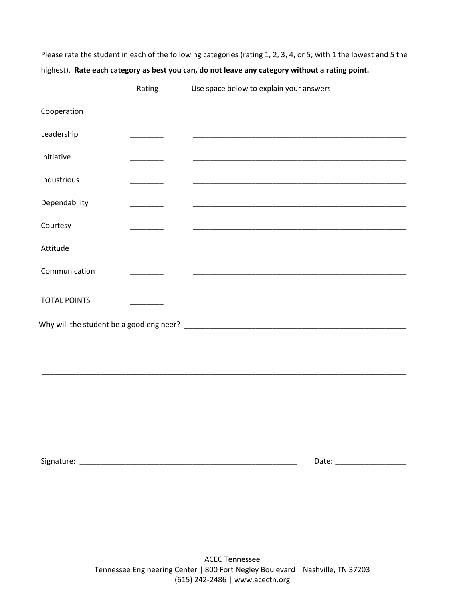Please rate the student in each of the following categories (rating 1, 2, 3, 4, or 5; with 1 the lowest and 5 the highest). **Rate each category as best you can, do not leave any category without a rating point.**

|                     | Rating   | Use space below to explain your answers                                                                              |
|---------------------|----------|----------------------------------------------------------------------------------------------------------------------|
| Cooperation         |          |                                                                                                                      |
| Leadership          | ______   |                                                                                                                      |
| Initiative          | ______   |                                                                                                                      |
| Industrious         | _______  |                                                                                                                      |
| Dependability       | _______  |                                                                                                                      |
| Courtesy            | _______  |                                                                                                                      |
| Attitude            | ________ |                                                                                                                      |
| Communication       | _______  | <u> 1989 - Johann John Harry, mars ar yn y brenin y brenin y brenin y brenin y brenin y brenin y brenin y brenin</u> |
| <b>TOTAL POINTS</b> |          |                                                                                                                      |
|                     |          |                                                                                                                      |
|                     |          |                                                                                                                      |
|                     |          |                                                                                                                      |
|                     |          |                                                                                                                      |
|                     |          |                                                                                                                      |
|                     |          |                                                                                                                      |
|                     |          |                                                                                                                      |
|                     |          |                                                                                                                      |